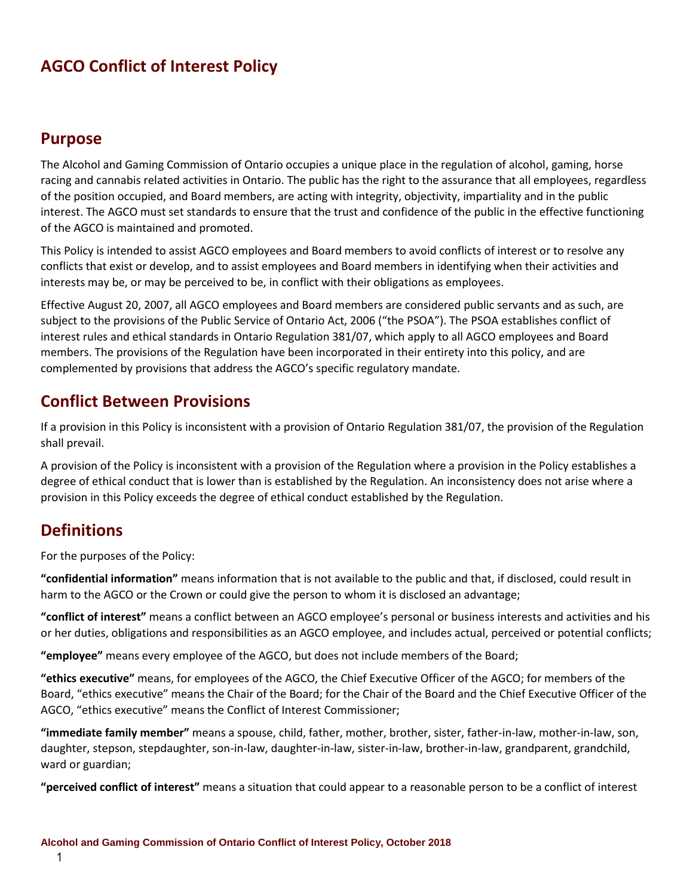## **AGCO Conflict of Interest Policy**

### **Purpose**

The Alcohol and Gaming Commission of Ontario occupies a unique place in the regulation of alcohol, gaming, horse racing and cannabis related activities in Ontario. The public has the right to the assurance that all employees, regardless of the position occupied, and Board members, are acting with integrity, objectivity, impartiality and in the public interest. The AGCO must set standards to ensure that the trust and confidence of the public in the effective functioning of the AGCO is maintained and promoted.

This Policy is intended to assist AGCO employees and Board members to avoid conflicts of interest or to resolve any conflicts that exist or develop, and to assist employees and Board members in identifying when their activities and interests may be, or may be perceived to be, in conflict with their obligations as employees.

Effective August 20, 2007, all AGCO employees and Board members are considered public servants and as such, are subject to the provisions of the Public Service of Ontario Act, 2006 ("the PSOA"). The PSOA establishes conflict of interest rules and ethical standards in Ontario Regulation 381/07, which apply to all AGCO employees and Board members. The provisions of the Regulation have been incorporated in their entirety into this policy, and are complemented by provisions that address the AGCO's specific regulatory mandate.

### **Conflict Between Provisions**

If a provision in this Policy is inconsistent with a provision of Ontario Regulation 381/07, the provision of the Regulation shall prevail.

A provision of the Policy is inconsistent with a provision of the Regulation where a provision in the Policy establishes a degree of ethical conduct that is lower than is established by the Regulation. An inconsistency does not arise where a provision in this Policy exceeds the degree of ethical conduct established by the Regulation.

## **Definitions**

For the purposes of the Policy:

**"confidential information"** means information that is not available to the public and that, if disclosed, could result in harm to the AGCO or the Crown or could give the person to whom it is disclosed an advantage;

**"conflict of interest"** means a conflict between an AGCO employee's personal or business interests and activities and his or her duties, obligations and responsibilities as an AGCO employee, and includes actual, perceived or potential conflicts;

**"employee"** means every employee of the AGCO, but does not include members of the Board;

**"ethics executive"** means, for employees of the AGCO, the Chief Executive Officer of the AGCO; for members of the Board, "ethics executive" means the Chair of the Board; for the Chair of the Board and the Chief Executive Officer of the AGCO, "ethics executive" means the Conflict of Interest Commissioner;

**"immediate family member"** means a spouse, child, father, mother, brother, sister, father-in-law, mother-in-law, son, daughter, stepson, stepdaughter, son-in-law, daughter-in-law, sister-in-law, brother-in-law, grandparent, grandchild, ward or guardian;

**"perceived conflict of interest"** means a situation that could appear to a reasonable person to be a conflict of interest

1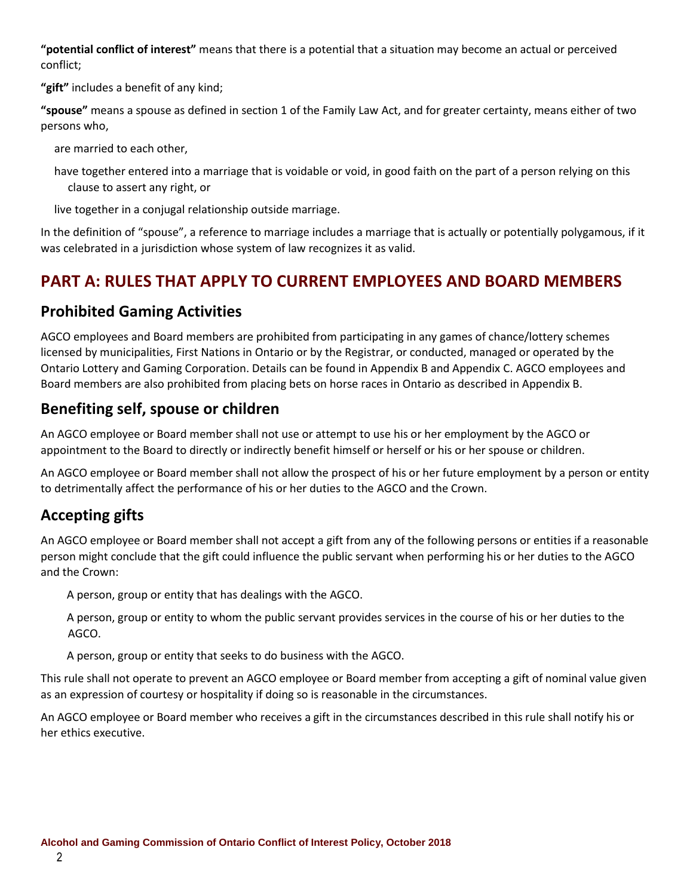**"potential conflict of interest"** means that there is a potential that a situation may become an actual or perceived conflict;

**"gift"** includes a benefit of any kind;

**"spouse"** means a spouse as defined in section 1 of the Family Law Act, and for greater certainty, means either of two persons who,

are married to each other,

have together entered into a marriage that is voidable or void, in good faith on the part of a person relying on this clause to assert any right, or

live together in a conjugal relationship outside marriage.

In the definition of "spouse", a reference to marriage includes a marriage that is actually or potentially polygamous, if it was celebrated in a jurisdiction whose system of law recognizes it as valid.

## **PART A: RULES THAT APPLY TO CURRENT EMPLOYEES AND BOARD MEMBERS**

### **Prohibited Gaming Activities**

AGCO employees and Board members are prohibited from participating in any games of chance/lottery schemes licensed by municipalities, First Nations in Ontario or by the Registrar, or conducted, managed or operated by the Ontario Lottery and Gaming Corporation. Details can be found in Appendix B and Appendix C. AGCO employees and Board members are also prohibited from placing bets on horse races in Ontario as described in Appendix B.

### **Benefiting self, spouse or children**

An AGCO employee or Board member shall not use or attempt to use his or her employment by the AGCO or appointment to the Board to directly or indirectly benefit himself or herself or his or her spouse or children.

An AGCO employee or Board member shall not allow the prospect of his or her future employment by a person or entity to detrimentally affect the performance of his or her duties to the AGCO and the Crown.

## **Accepting gifts**

An AGCO employee or Board member shall not accept a gift from any of the following persons or entities if a reasonable person might conclude that the gift could influence the public servant when performing his or her duties to the AGCO and the Crown:

A person, group or entity that has dealings with the AGCO.

A person, group or entity to whom the public servant provides services in the course of his or her duties to the AGCO.

A person, group or entity that seeks to do business with the AGCO.

This rule shall not operate to prevent an AGCO employee or Board member from accepting a gift of nominal value given as an expression of courtesy or hospitality if doing so is reasonable in the circumstances.

An AGCO employee or Board member who receives a gift in the circumstances described in this rule shall notify his or her ethics executive.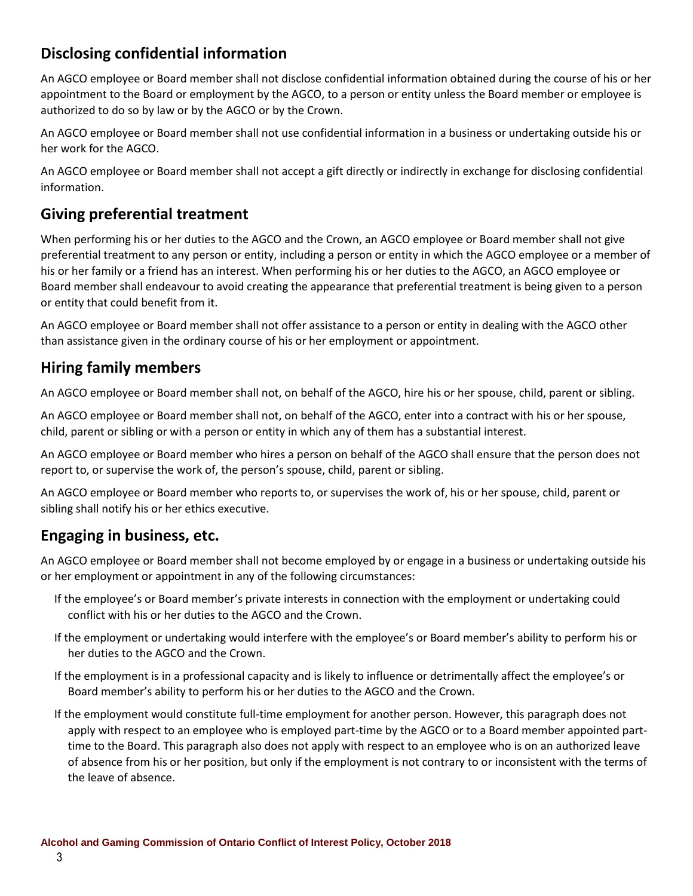## **Disclosing confidential information**

An AGCO employee or Board member shall not disclose confidential information obtained during the course of his or her appointment to the Board or employment by the AGCO, to a person or entity unless the Board member or employee is authorized to do so by law or by the AGCO or by the Crown.

An AGCO employee or Board member shall not use confidential information in a business or undertaking outside his or her work for the AGCO.

An AGCO employee or Board member shall not accept a gift directly or indirectly in exchange for disclosing confidential information.

### **Giving preferential treatment**

When performing his or her duties to the AGCO and the Crown, an AGCO employee or Board member shall not give preferential treatment to any person or entity, including a person or entity in which the AGCO employee or a member of his or her family or a friend has an interest. When performing his or her duties to the AGCO, an AGCO employee or Board member shall endeavour to avoid creating the appearance that preferential treatment is being given to a person or entity that could benefit from it.

An AGCO employee or Board member shall not offer assistance to a person or entity in dealing with the AGCO other than assistance given in the ordinary course of his or her employment or appointment.

### **Hiring family members**

An AGCO employee or Board member shall not, on behalf of the AGCO, hire his or her spouse, child, parent or sibling.

An AGCO employee or Board member shall not, on behalf of the AGCO, enter into a contract with his or her spouse, child, parent or sibling or with a person or entity in which any of them has a substantial interest.

An AGCO employee or Board member who hires a person on behalf of the AGCO shall ensure that the person does not report to, or supervise the work of, the person's spouse, child, parent or sibling.

An AGCO employee or Board member who reports to, or supervises the work of, his or her spouse, child, parent or sibling shall notify his or her ethics executive.

### **Engaging in business, etc.**

An AGCO employee or Board member shall not become employed by or engage in a business or undertaking outside his or her employment or appointment in any of the following circumstances:

- If the employee's or Board member's private interests in connection with the employment or undertaking could conflict with his or her duties to the AGCO and the Crown.
- If the employment or undertaking would interfere with the employee's or Board member's ability to perform his or her duties to the AGCO and the Crown.
- If the employment is in a professional capacity and is likely to influence or detrimentally affect the employee's or Board member's ability to perform his or her duties to the AGCO and the Crown.
- If the employment would constitute full-time employment for another person. However, this paragraph does not apply with respect to an employee who is employed part-time by the AGCO or to a Board member appointed parttime to the Board. This paragraph also does not apply with respect to an employee who is on an authorized leave of absence from his or her position, but only if the employment is not contrary to or inconsistent with the terms of the leave of absence.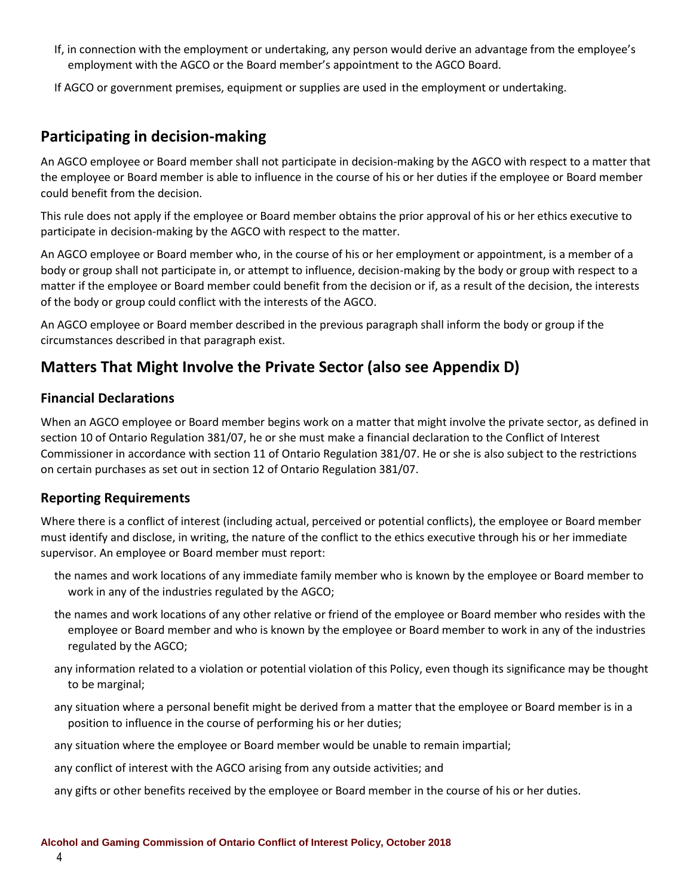- If, in connection with the employment or undertaking, any person would derive an advantage from the employee's employment with the AGCO or the Board member's appointment to the AGCO Board.
- If AGCO or government premises, equipment or supplies are used in the employment or undertaking.

### **Participating in decision-making**

An AGCO employee or Board member shall not participate in decision-making by the AGCO with respect to a matter that the employee or Board member is able to influence in the course of his or her duties if the employee or Board member could benefit from the decision.

This rule does not apply if the employee or Board member obtains the prior approval of his or her ethics executive to participate in decision-making by the AGCO with respect to the matter.

An AGCO employee or Board member who, in the course of his or her employment or appointment, is a member of a body or group shall not participate in, or attempt to influence, decision-making by the body or group with respect to a matter if the employee or Board member could benefit from the decision or if, as a result of the decision, the interests of the body or group could conflict with the interests of the AGCO.

An AGCO employee or Board member described in the previous paragraph shall inform the body or group if the circumstances described in that paragraph exist.

### **Matters That Might Involve the Private Sector (also see Appendix D)**

### **Financial Declarations**

When an AGCO employee or Board member begins work on a matter that might involve the private sector, as defined in section 10 of Ontario Regulation 381/07, he or she must make a financial declaration to the Conflict of Interest Commissioner in accordance with section 11 of Ontario Regulation 381/07. He or she is also subject to the restrictions on certain purchases as set out in section 12 of Ontario Regulation 381/07.

### **Reporting Requirements**

Where there is a conflict of interest (including actual, perceived or potential conflicts), the employee or Board member must identify and disclose, in writing, the nature of the conflict to the ethics executive through his or her immediate supervisor. An employee or Board member must report:

- the names and work locations of any immediate family member who is known by the employee or Board member to work in any of the industries regulated by the AGCO;
- the names and work locations of any other relative or friend of the employee or Board member who resides with the employee or Board member and who is known by the employee or Board member to work in any of the industries regulated by the AGCO;
- any information related to a violation or potential violation of this Policy, even though its significance may be thought to be marginal;
- any situation where a personal benefit might be derived from a matter that the employee or Board member is in a position to influence in the course of performing his or her duties;
- any situation where the employee or Board member would be unable to remain impartial;
- any conflict of interest with the AGCO arising from any outside activities; and
- any gifts or other benefits received by the employee or Board member in the course of his or her duties.

4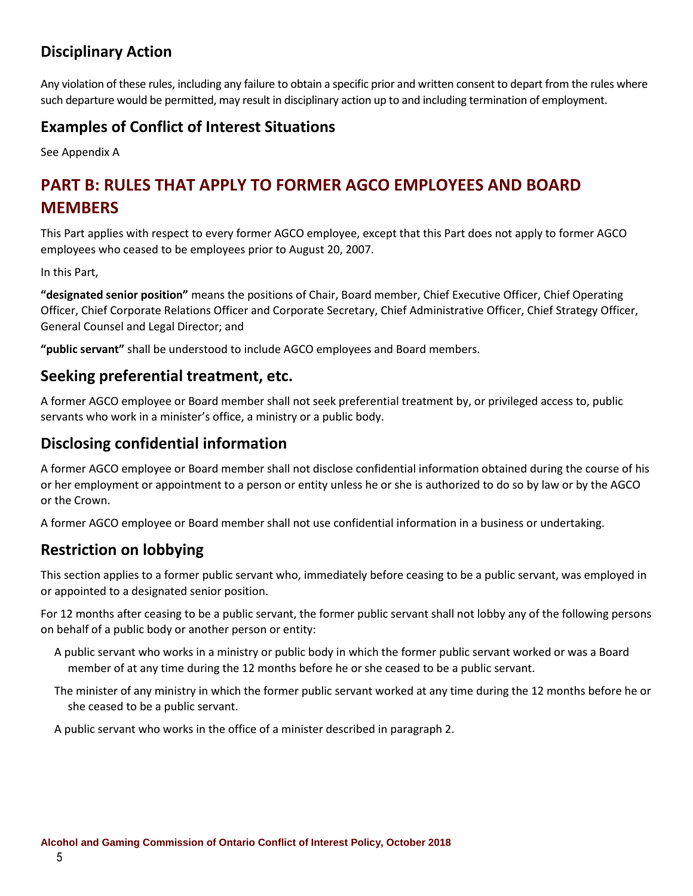## **Disciplinary Action**

Any violation of these rules, including any failure to obtain a specific prior and written consent to depart from the rules where such departure would be permitted, may result in disciplinary action up to and including termination of employment.

### **Examples of Conflict of Interest Situations**

See Appendix A

# **PART B: RULES THAT APPLY TO FORMER AGCO EMPLOYEES AND BOARD MEMBERS**

This Part applies with respect to every former AGCO employee, except that this Part does not apply to former AGCO employees who ceased to be employees prior to August 20, 2007.

In this Part,

**"designated senior position"** means the positions of Chair, Board member, Chief Executive Officer, Chief Operating Officer, Chief Corporate Relations Officer and Corporate Secretary, Chief Administrative Officer, Chief Strategy Officer, General Counsel and Legal Director; and

**"public servant"** shall be understood to include AGCO employees and Board members.

### **Seeking preferential treatment, etc.**

A former AGCO employee or Board member shall not seek preferential treatment by, or privileged access to, public servants who work in a minister's office, a ministry or a public body.

### **Disclosing confidential information**

A former AGCO employee or Board member shall not disclose confidential information obtained during the course of his or her employment or appointment to a person or entity unless he or she is authorized to do so by law or by the AGCO or the Crown.

A former AGCO employee or Board member shall not use confidential information in a business or undertaking.

### **Restriction on lobbying**

This section applies to a former public servant who, immediately before ceasing to be a public servant, was employed in or appointed to a designated senior position.

For 12 months after ceasing to be a public servant, the former public servant shall not lobby any of the following persons on behalf of a public body or another person or entity:

- A public servant who works in a ministry or public body in which the former public servant worked or was a Board member of at any time during the 12 months before he or she ceased to be a public servant.
- The minister of any ministry in which the former public servant worked at any time during the 12 months before he or she ceased to be a public servant.

A public servant who works in the office of a minister described in paragraph 2.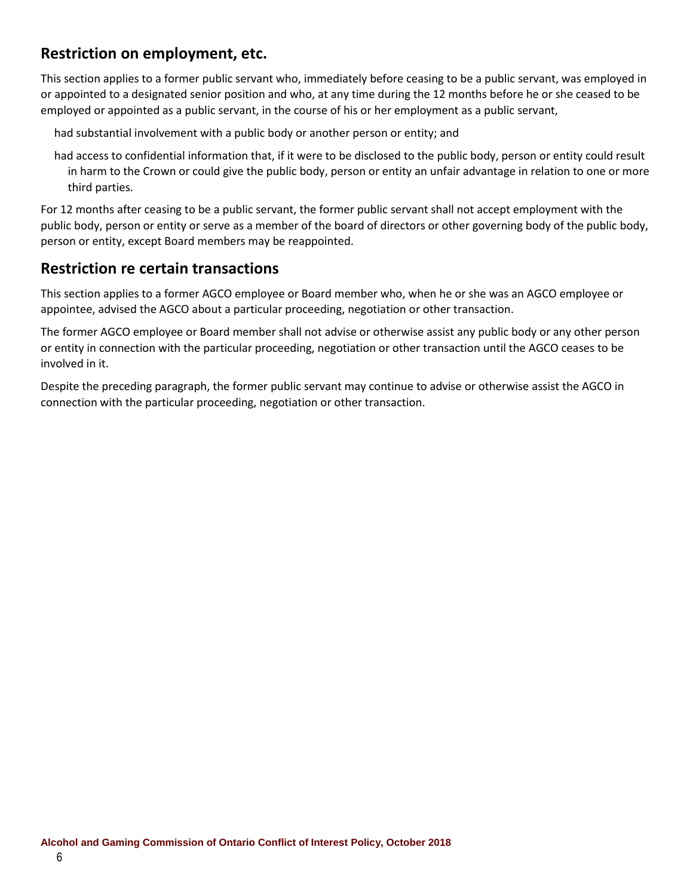### **Restriction on employment, etc.**

This section applies to a former public servant who, immediately before ceasing to be a public servant, was employed in or appointed to a designated senior position and who, at any time during the 12 months before he or she ceased to be employed or appointed as a public servant, in the course of his or her employment as a public servant,

had substantial involvement with a public body or another person or entity; and

had access to confidential information that, if it were to be disclosed to the public body, person or entity could result in harm to the Crown or could give the public body, person or entity an unfair advantage in relation to one or more third parties.

For 12 months after ceasing to be a public servant, the former public servant shall not accept employment with the public body, person or entity or serve as a member of the board of directors or other governing body of the public body, person or entity, except Board members may be reappointed.

### **Restriction re certain transactions**

This section applies to a former AGCO employee or Board member who, when he or she was an AGCO employee or appointee, advised the AGCO about a particular proceeding, negotiation or other transaction.

The former AGCO employee or Board member shall not advise or otherwise assist any public body or any other person or entity in connection with the particular proceeding, negotiation or other transaction until the AGCO ceases to be involved in it.

Despite the preceding paragraph, the former public servant may continue to advise or otherwise assist the AGCO in connection with the particular proceeding, negotiation or other transaction.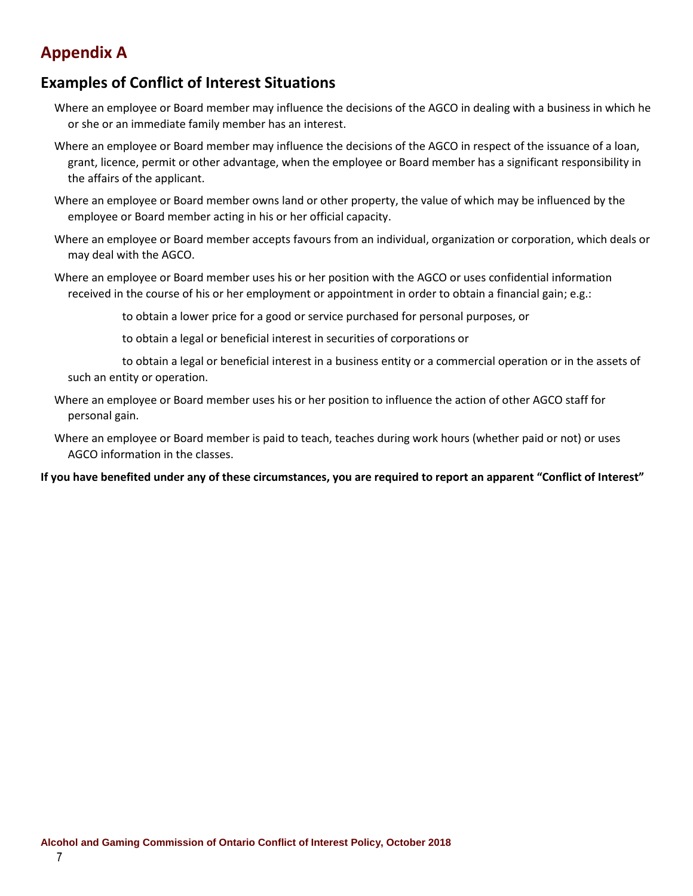## **Appendix A**

### **Examples of Conflict of Interest Situations**

- Where an employee or Board member may influence the decisions of the AGCO in dealing with a business in which he or she or an immediate family member has an interest.
- Where an employee or Board member may influence the decisions of the AGCO in respect of the issuance of a loan, grant, licence, permit or other advantage, when the employee or Board member has a significant responsibility in the affairs of the applicant.
- Where an employee or Board member owns land or other property, the value of which may be influenced by the employee or Board member acting in his or her official capacity.
- Where an employee or Board member accepts favours from an individual, organization or corporation, which deals or may deal with the AGCO.
- Where an employee or Board member uses his or her position with the AGCO or uses confidential information received in the course of his or her employment or appointment in order to obtain a financial gain; e.g.:

to obtain a lower price for a good or service purchased for personal purposes, or

to obtain a legal or beneficial interest in securities of corporations or

to obtain a legal or beneficial interest in a business entity or a commercial operation or in the assets of such an entity or operation.

Where an employee or Board member uses his or her position to influence the action of other AGCO staff for personal gain.

Where an employee or Board member is paid to teach, teaches during work hours (whether paid or not) or uses AGCO information in the classes.

#### **If you have benefited under any of these circumstances, you are required to report an apparent "Conflict of Interest"**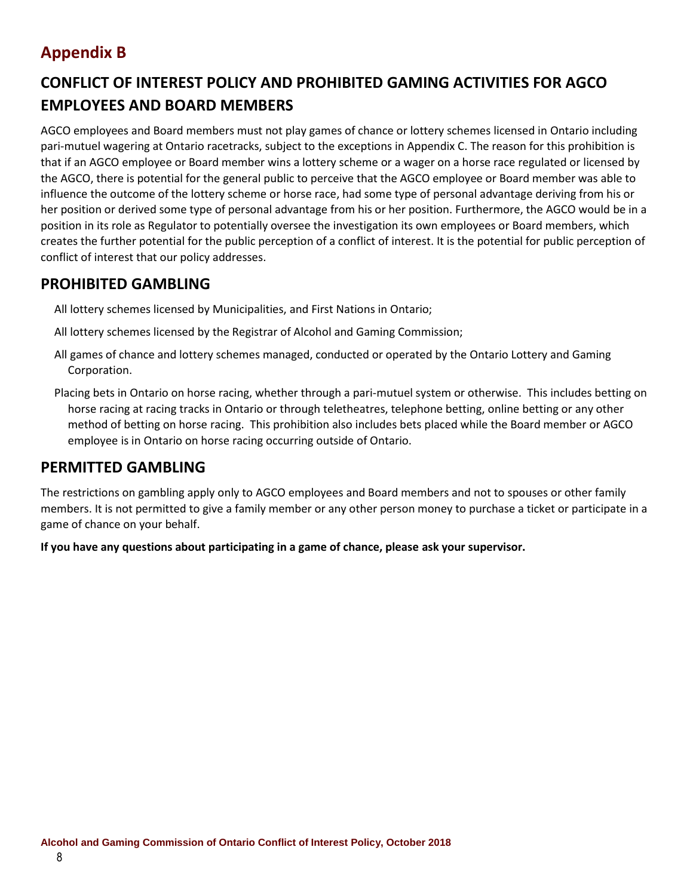# **Appendix B**

# **CONFLICT OF INTEREST POLICY AND PROHIBITED GAMING ACTIVITIES FOR AGCO EMPLOYEES AND BOARD MEMBERS**

AGCO employees and Board members must not play games of chance or lottery schemes licensed in Ontario including pari-mutuel wagering at Ontario racetracks, subject to the exceptions in Appendix C. The reason for this prohibition is that if an AGCO employee or Board member wins a lottery scheme or a wager on a horse race regulated or licensed by the AGCO, there is potential for the general public to perceive that the AGCO employee or Board member was able to influence the outcome of the lottery scheme or horse race, had some type of personal advantage deriving from his or her position or derived some type of personal advantage from his or her position. Furthermore, the AGCO would be in a position in its role as Regulator to potentially oversee the investigation its own employees or Board members, which creates the further potential for the public perception of a conflict of interest. It is the potential for public perception of conflict of interest that our policy addresses.

### **PROHIBITED GAMBLING**

All lottery schemes licensed by Municipalities, and First Nations in Ontario;

- All lottery schemes licensed by the Registrar of Alcohol and Gaming Commission;
- All games of chance and lottery schemes managed, conducted or operated by the Ontario Lottery and Gaming Corporation.
- Placing bets in Ontario on horse racing, whether through a pari-mutuel system or otherwise. This includes betting on horse racing at racing tracks in Ontario or through teletheatres, telephone betting, online betting or any other method of betting on horse racing. This prohibition also includes bets placed while the Board member or AGCO employee is in Ontario on horse racing occurring outside of Ontario.

### **PERMITTED GAMBLING**

The restrictions on gambling apply only to AGCO employees and Board members and not to spouses or other family members. It is not permitted to give a family member or any other person money to purchase a ticket or participate in a game of chance on your behalf.

**If you have any questions about participating in a game of chance, please ask your supervisor.**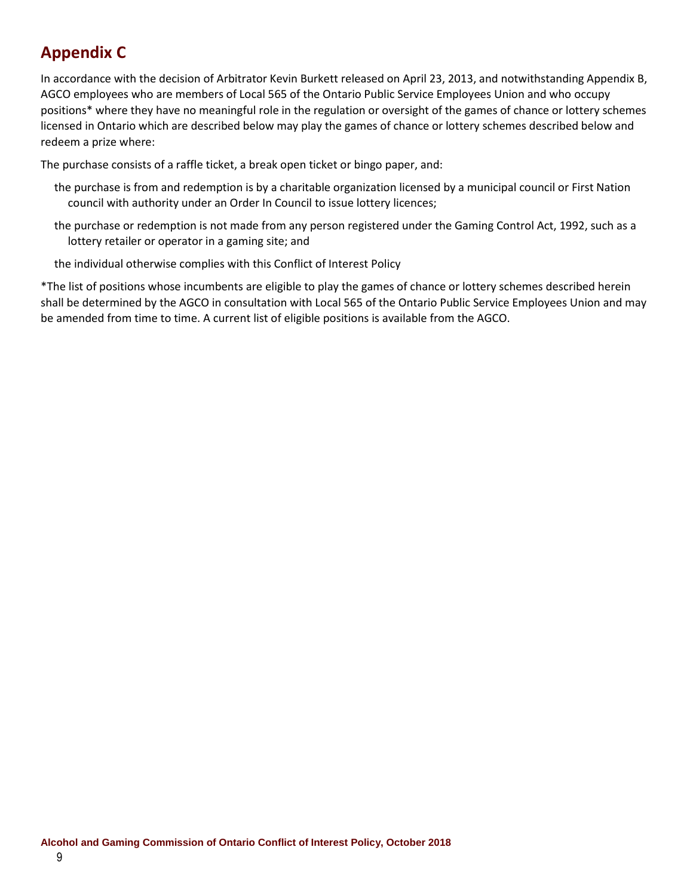# **Appendix C**

In accordance with the decision of Arbitrator Kevin Burkett released on April 23, 2013, and notwithstanding Appendix B, AGCO employees who are members of Local 565 of the Ontario Public Service Employees Union and who occupy positions\* where they have no meaningful role in the regulation or oversight of the games of chance or lottery schemes licensed in Ontario which are described below may play the games of chance or lottery schemes described below and redeem a prize where:

The purchase consists of a raffle ticket, a break open ticket or bingo paper, and:

- the purchase is from and redemption is by a charitable organization licensed by a municipal council or First Nation council with authority under an Order In Council to issue lottery licences;
- the purchase or redemption is not made from any person registered under the Gaming Control Act, 1992, such as a lottery retailer or operator in a gaming site; and
- the individual otherwise complies with this Conflict of Interest Policy

\*The list of positions whose incumbents are eligible to play the games of chance or lottery schemes described herein shall be determined by the AGCO in consultation with Local 565 of the Ontario Public Service Employees Union and may be amended from time to time. A current list of eligible positions is available from the AGCO.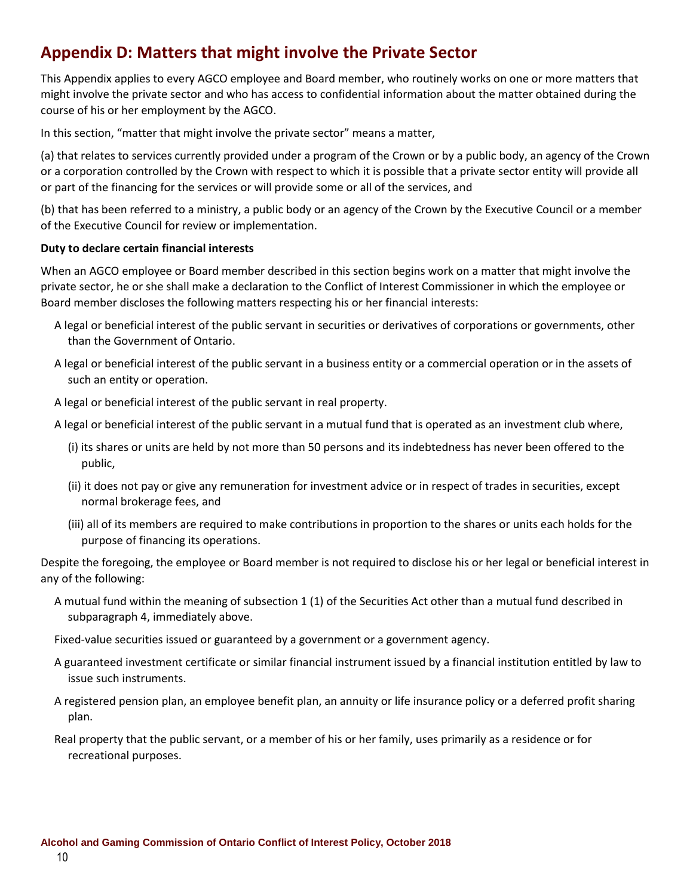## **Appendix D: Matters that might involve the Private Sector**

This Appendix applies to every AGCO employee and Board member, who routinely works on one or more matters that might involve the private sector and who has access to confidential information about the matter obtained during the course of his or her employment by the AGCO.

In this section, "matter that might involve the private sector" means a matter,

(a) that relates to services currently provided under a program of the Crown or by a public body, an agency of the Crown or a corporation controlled by the Crown with respect to which it is possible that a private sector entity will provide all or part of the financing for the services or will provide some or all of the services, and

(b) that has been referred to a ministry, a public body or an agency of the Crown by the Executive Council or a member of the Executive Council for review or implementation.

#### **Duty to declare certain financial interests**

When an AGCO employee or Board member described in this section begins work on a matter that might involve the private sector, he or she shall make a declaration to the Conflict of Interest Commissioner in which the employee or Board member discloses the following matters respecting his or her financial interests:

- A legal or beneficial interest of the public servant in securities or derivatives of corporations or governments, other than the Government of Ontario.
- A legal or beneficial interest of the public servant in a business entity or a commercial operation or in the assets of such an entity or operation.
- A legal or beneficial interest of the public servant in real property.
- A legal or beneficial interest of the public servant in a mutual fund that is operated as an investment club where,
	- (i) its shares or units are held by not more than 50 persons and its indebtedness has never been offered to the public,
	- (ii) it does not pay or give any remuneration for investment advice or in respect of trades in securities, except normal brokerage fees, and
	- (iii) all of its members are required to make contributions in proportion to the shares or units each holds for the purpose of financing its operations.

Despite the foregoing, the employee or Board member is not required to disclose his or her legal or beneficial interest in any of the following:

- A mutual fund within the meaning of subsection 1 (1) of the Securities Act other than a mutual fund described in subparagraph 4, immediately above.
- Fixed-value securities issued or guaranteed by a government or a government agency.
- A guaranteed investment certificate or similar financial instrument issued by a financial institution entitled by law to issue such instruments.
- A registered pension plan, an employee benefit plan, an annuity or life insurance policy or a deferred profit sharing plan.
- Real property that the public servant, or a member of his or her family, uses primarily as a residence or for recreational purposes.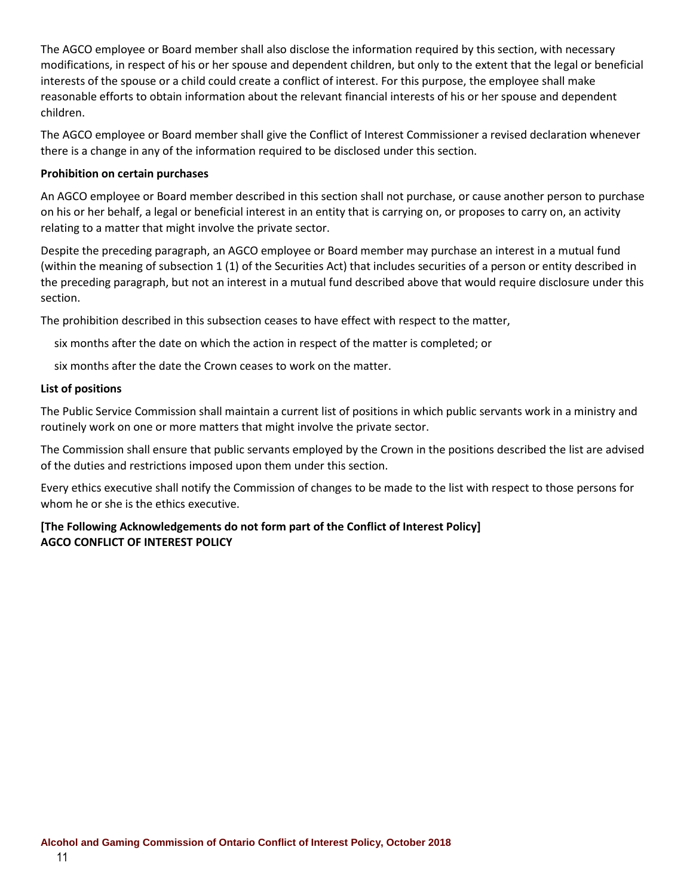The AGCO employee or Board member shall also disclose the information required by this section, with necessary modifications, in respect of his or her spouse and dependent children, but only to the extent that the legal or beneficial interests of the spouse or a child could create a conflict of interest. For this purpose, the employee shall make reasonable efforts to obtain information about the relevant financial interests of his or her spouse and dependent children.

The AGCO employee or Board member shall give the Conflict of Interest Commissioner a revised declaration whenever there is a change in any of the information required to be disclosed under this section.

#### **Prohibition on certain purchases**

An AGCO employee or Board member described in this section shall not purchase, or cause another person to purchase on his or her behalf, a legal or beneficial interest in an entity that is carrying on, or proposes to carry on, an activity relating to a matter that might involve the private sector.

Despite the preceding paragraph, an AGCO employee or Board member may purchase an interest in a mutual fund (within the meaning of subsection 1 (1) of the Securities Act) that includes securities of a person or entity described in the preceding paragraph, but not an interest in a mutual fund described above that would require disclosure under this section.

The prohibition described in this subsection ceases to have effect with respect to the matter,

six months after the date on which the action in respect of the matter is completed; or

six months after the date the Crown ceases to work on the matter.

#### **List of positions**

The Public Service Commission shall maintain a current list of positions in which public servants work in a ministry and routinely work on one or more matters that might involve the private sector.

The Commission shall ensure that public servants employed by the Crown in the positions described the list are advised of the duties and restrictions imposed upon them under this section.

Every ethics executive shall notify the Commission of changes to be made to the list with respect to those persons for whom he or she is the ethics executive.

### **[The Following Acknowledgements do not form part of the Conflict of Interest Policy] AGCO CONFLICT OF INTEREST POLICY**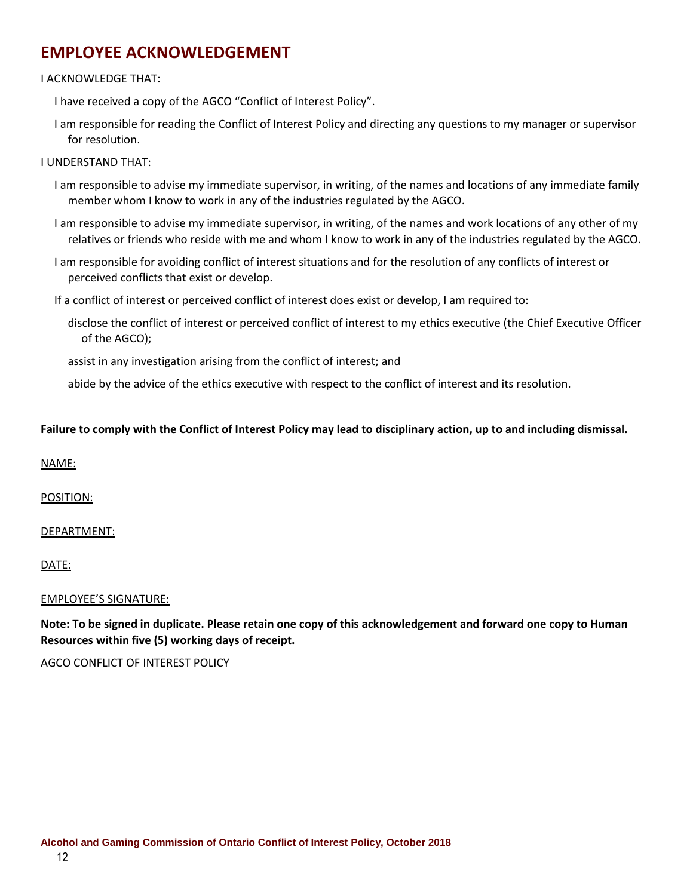### **EMPLOYEE ACKNOWLEDGEMENT**

#### I ACKNOWLEDGE THAT:

I have received a copy of the AGCO "Conflict of Interest Policy".

I am responsible for reading the Conflict of Interest Policy and directing any questions to my manager or supervisor for resolution.

#### I UNDERSTAND THAT:

- I am responsible to advise my immediate supervisor, in writing, of the names and locations of any immediate family member whom I know to work in any of the industries regulated by the AGCO.
- I am responsible to advise my immediate supervisor, in writing, of the names and work locations of any other of my relatives or friends who reside with me and whom I know to work in any of the industries regulated by the AGCO.
- I am responsible for avoiding conflict of interest situations and for the resolution of any conflicts of interest or perceived conflicts that exist or develop.

If a conflict of interest or perceived conflict of interest does exist or develop, I am required to:

disclose the conflict of interest or perceived conflict of interest to my ethics executive (the Chief Executive Officer of the AGCO);

assist in any investigation arising from the conflict of interest; and

abide by the advice of the ethics executive with respect to the conflict of interest and its resolution.

#### **Failure to comply with the Conflict of Interest Policy may lead to disciplinary action, up to and including dismissal.**

#### NAME:

POSITION:

#### DEPARTMENT:

DATE:

#### EMPLOYEE'S SIGNATURE:

**Note: To be signed in duplicate. Please retain one copy of this acknowledgement and forward one copy to Human Resources within five (5) working days of receipt.**

AGCO CONFLICT OF INTEREST POLICY